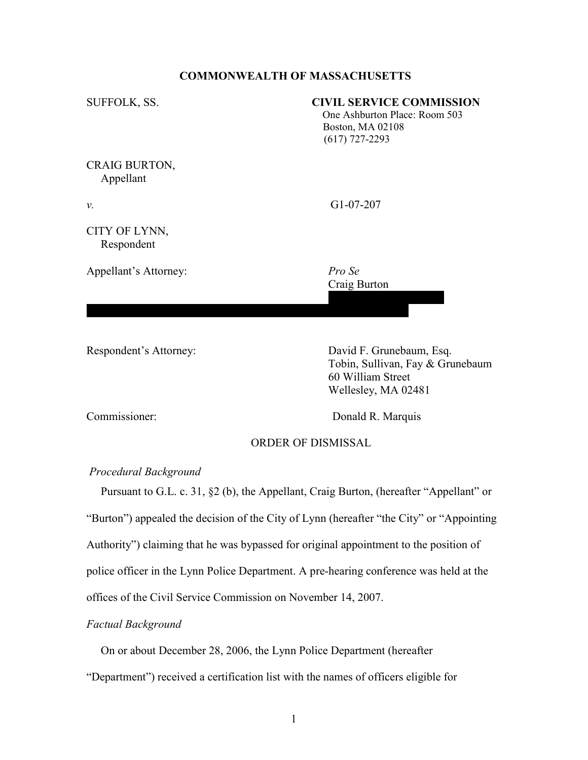# COMMONWEALTH OF MASSACHUSETTS

| SUFFOLK, SS.                | <b>CIVIL SERVICE COMMISSION</b><br>One Ashburton Place: Room 503<br>Boston, MA 02108<br>$(617)$ 727-2293 |
|-----------------------------|----------------------------------------------------------------------------------------------------------|
| CRAIG BURTON,<br>Appellant  |                                                                                                          |
| ν.                          | $G1-07-207$                                                                                              |
| CITY OF LYNN,<br>Respondent |                                                                                                          |
| Appellant's Attorney:       | Pro Se<br>Craig Burton                                                                                   |
| Respondent's Attorney:      | David F. Grunebaum, Esq.<br>Tobin, Sullivan, Fay & Grunebaum                                             |

Commissioner: Donald R. Marquis

 60 William Street Wellesley, MA 02481

# ORDER OF DISMISSAL

### Procedural Background

 Pursuant to G.L. c. 31, §2 (b), the Appellant, Craig Burton, (hereafter "Appellant" or "Burton") appealed the decision of the City of Lynn (hereafter "the City" or "Appointing Authority") claiming that he was bypassed for original appointment to the position of police officer in the Lynn Police Department. A pre-hearing conference was held at the offices of the Civil Service Commission on November 14, 2007.

# Factual Background

On or about December 28, 2006, the Lynn Police Department (hereafter

"Department") received a certification list with the names of officers eligible for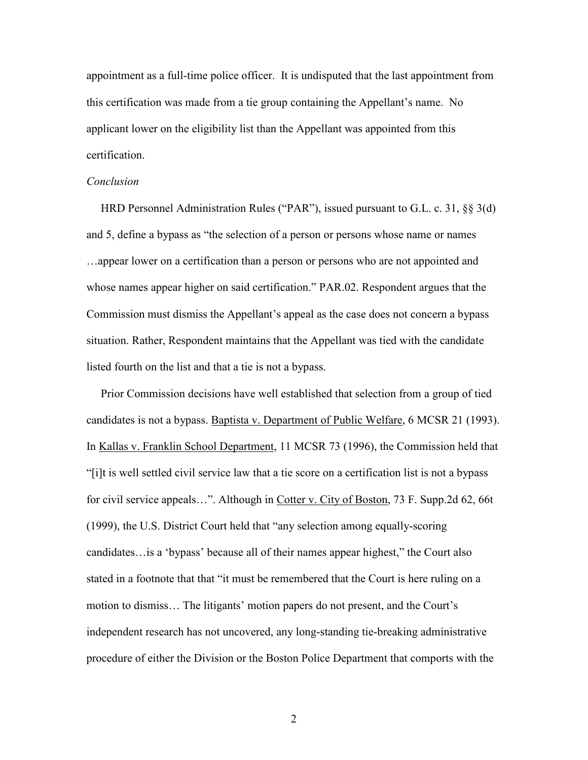appointment as a full-time police officer. It is undisputed that the last appointment from this certification was made from a tie group containing the Appellant's name. No applicant lower on the eligibility list than the Appellant was appointed from this certification.

#### Conclusion

 HRD Personnel Administration Rules ("PAR"), issued pursuant to G.L. c. 31, §§ 3(d) and 5, define a bypass as "the selection of a person or persons whose name or names …appear lower on a certification than a person or persons who are not appointed and whose names appear higher on said certification." PAR.02. Respondent argues that the Commission must dismiss the Appellant's appeal as the case does not concern a bypass situation. Rather, Respondent maintains that the Appellant was tied with the candidate listed fourth on the list and that a tie is not a bypass.

 Prior Commission decisions have well established that selection from a group of tied candidates is not a bypass. Baptista v. Department of Public Welfare, 6 MCSR 21 (1993). In Kallas v. Franklin School Department, 11 MCSR 73 (1996), the Commission held that "[i]t is well settled civil service law that a tie score on a certification list is not a bypass for civil service appeals…". Although in Cotter v. City of Boston, 73 F. Supp.2d 62, 66t (1999), the U.S. District Court held that "any selection among equally-scoring candidates…is a 'bypass' because all of their names appear highest," the Court also stated in a footnote that that "it must be remembered that the Court is here ruling on a motion to dismiss… The litigants' motion papers do not present, and the Court's independent research has not uncovered, any long-standing tie-breaking administrative procedure of either the Division or the Boston Police Department that comports with the

2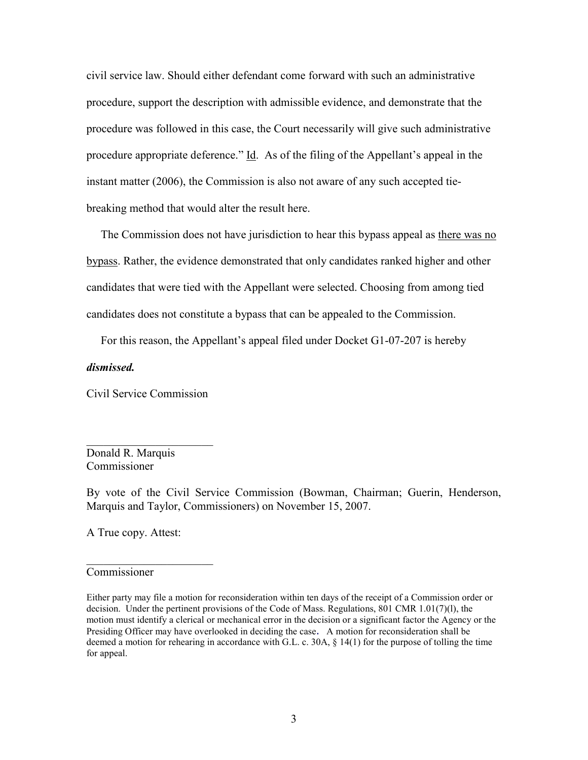civil service law. Should either defendant come forward with such an administrative procedure, support the description with admissible evidence, and demonstrate that the procedure was followed in this case, the Court necessarily will give such administrative procedure appropriate deference." Id. As of the filing of the Appellant's appeal in the instant matter (2006), the Commission is also not aware of any such accepted tiebreaking method that would alter the result here.

 The Commission does not have jurisdiction to hear this bypass appeal as there was no bypass. Rather, the evidence demonstrated that only candidates ranked higher and other candidates that were tied with the Appellant were selected. Choosing from among tied candidates does not constitute a bypass that can be appealed to the Commission.

For this reason, the Appellant's appeal filed under Docket G1-07-207 is hereby

#### dismissed.

Civil Service Commission

 $\overline{\phantom{a}}$  , which is a set of the set of the set of the set of the set of the set of the set of the set of the set of the set of the set of the set of the set of the set of the set of the set of the set of the set of th

Donald R. Marquis Commissioner

By vote of the Civil Service Commission (Bowman, Chairman; Guerin, Henderson, Marquis and Taylor, Commissioners) on November 15, 2007.

A True copy. Attest:

 $\overline{\phantom{a}}$  , which is a set of the set of the set of the set of the set of the set of the set of the set of the set of the set of the set of the set of the set of the set of the set of the set of the set of the set of th

#### Commissioner

Either party may file a motion for reconsideration within ten days of the receipt of a Commission order or decision. Under the pertinent provisions of the Code of Mass. Regulations, 801 CMR 1.01(7)(l), the motion must identify a clerical or mechanical error in the decision or a significant factor the Agency or the Presiding Officer may have overlooked in deciding the case. A motion for reconsideration shall be deemed a motion for rehearing in accordance with G.L. c. 30A, § 14(1) for the purpose of tolling the time for appeal.